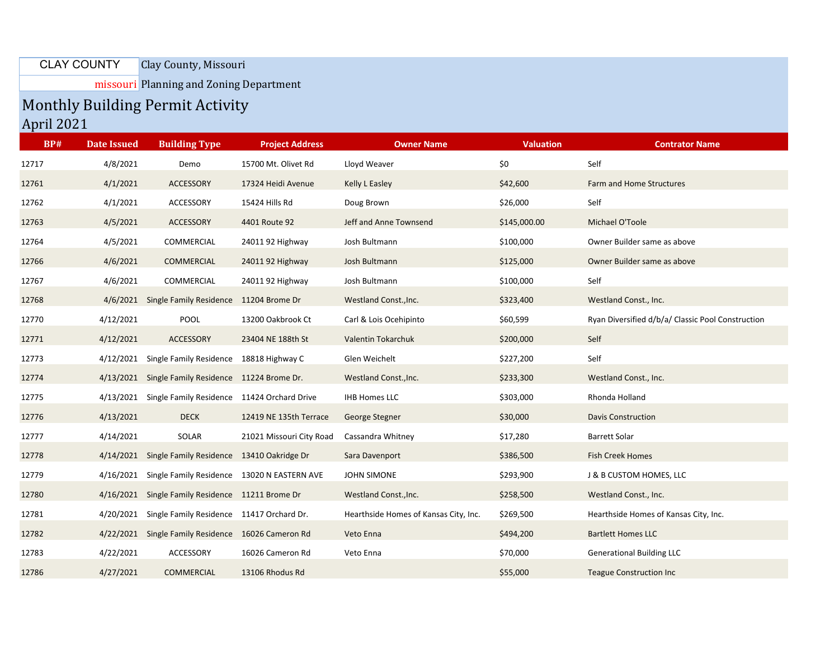## Clay County, Missouri CLAY COUNTY

missouri Planning and Zoning Department

## Monthly Building Permit Activity April 2021

| <b>BP#</b> | <b>Date Issued</b> | <b>Building Type</b>                                  | <b>Project Address</b>   | <b>Owner Name</b>                     | <b>Valuation</b> | <b>Contrator Name</b>                             |
|------------|--------------------|-------------------------------------------------------|--------------------------|---------------------------------------|------------------|---------------------------------------------------|
| 12717      | 4/8/2021           | Demo                                                  | 15700 Mt. Olivet Rd      | Lloyd Weaver                          | \$0              | Self                                              |
| 12761      | 4/1/2021           | <b>ACCESSORY</b>                                      | 17324 Heidi Avenue       | Kelly L Easley                        | \$42,600         | Farm and Home Structures                          |
| 12762      | 4/1/2021           | <b>ACCESSORY</b>                                      | 15424 Hills Rd           | Doug Brown                            | \$26,000         | Self                                              |
| 12763      | 4/5/2021           | ACCESSORY                                             | 4401 Route 92            | Jeff and Anne Townsend                | \$145,000.00     | Michael O'Toole                                   |
| 12764      | 4/5/2021           | COMMERCIAL                                            | 24011 92 Highway         | Josh Bultmann                         | \$100,000        | Owner Builder same as above                       |
| 12766      | 4/6/2021           | <b>COMMERCIAL</b>                                     | 24011 92 Highway         | Josh Bultmann                         | \$125,000        | Owner Builder same as above                       |
| 12767      | 4/6/2021           | COMMERCIAL                                            | 24011 92 Highway         | Josh Bultmann                         | \$100,000        | Self                                              |
| 12768      |                    | 4/6/2021 Single Family Residence 11204 Brome Dr       |                          | Westland Const., Inc.                 | \$323,400        | Westland Const., Inc.                             |
| 12770      | 4/12/2021          | POOL                                                  | 13200 Oakbrook Ct        | Carl & Lois Ocehipinto                | \$60,599         | Ryan Diversified d/b/a/ Classic Pool Construction |
| 12771      | 4/12/2021          | <b>ACCESSORY</b>                                      | 23404 NE 188th St        | <b>Valentin Tokarchuk</b>             | \$200,000        | Self                                              |
| 12773      |                    | 4/12/2021 Single Family Residence 18818 Highway C     |                          | Glen Weichelt                         | \$227,200        | Self                                              |
| 12774      |                    | 4/13/2021 Single Family Residence 11224 Brome Dr.     |                          | Westland Const., Inc.                 | \$233,300        | Westland Const., Inc.                             |
| 12775      |                    | 4/13/2021 Single Family Residence 11424 Orchard Drive |                          | <b>IHB Homes LLC</b>                  | \$303,000        | Rhonda Holland                                    |
| 12776      | 4/13/2021          | <b>DECK</b>                                           | 12419 NE 135th Terrace   | George Stegner                        | \$30,000         | <b>Davis Construction</b>                         |
| 12777      | 4/14/2021          | SOLAR                                                 | 21021 Missouri City Road | Cassandra Whitney                     | \$17,280         | Barrett Solar                                     |
| 12778      |                    | 4/14/2021 Single Family Residence 13410 Oakridge Dr   |                          | Sara Davenport                        | \$386,500        | <b>Fish Creek Homes</b>                           |
| 12779      |                    | 4/16/2021 Single Family Residence 13020 N EASTERN AVE |                          | JOHN SIMONE                           | \$293,900        | J & B CUSTOM HOMES, LLC                           |
| 12780      |                    | 4/16/2021 Single Family Residence 11211 Brome Dr      |                          | Westland Const., Inc.                 | \$258,500        | Westland Const., Inc.                             |
| 12781      |                    | 4/20/2021 Single Family Residence 11417 Orchard Dr.   |                          | Hearthside Homes of Kansas City, Inc. | \$269,500        | Hearthside Homes of Kansas City, Inc.             |
| 12782      |                    | 4/22/2021 Single Family Residence 16026 Cameron Rd    |                          | Veto Enna                             | \$494,200        | <b>Bartlett Homes LLC</b>                         |
| 12783      | 4/22/2021          | ACCESSORY                                             | 16026 Cameron Rd         | Veto Enna                             | \$70,000         | <b>Generational Building LLC</b>                  |
| 12786      | 4/27/2021          | <b>COMMERCIAL</b>                                     | 13106 Rhodus Rd          |                                       | \$55,000         | <b>Teague Construction Inc.</b>                   |